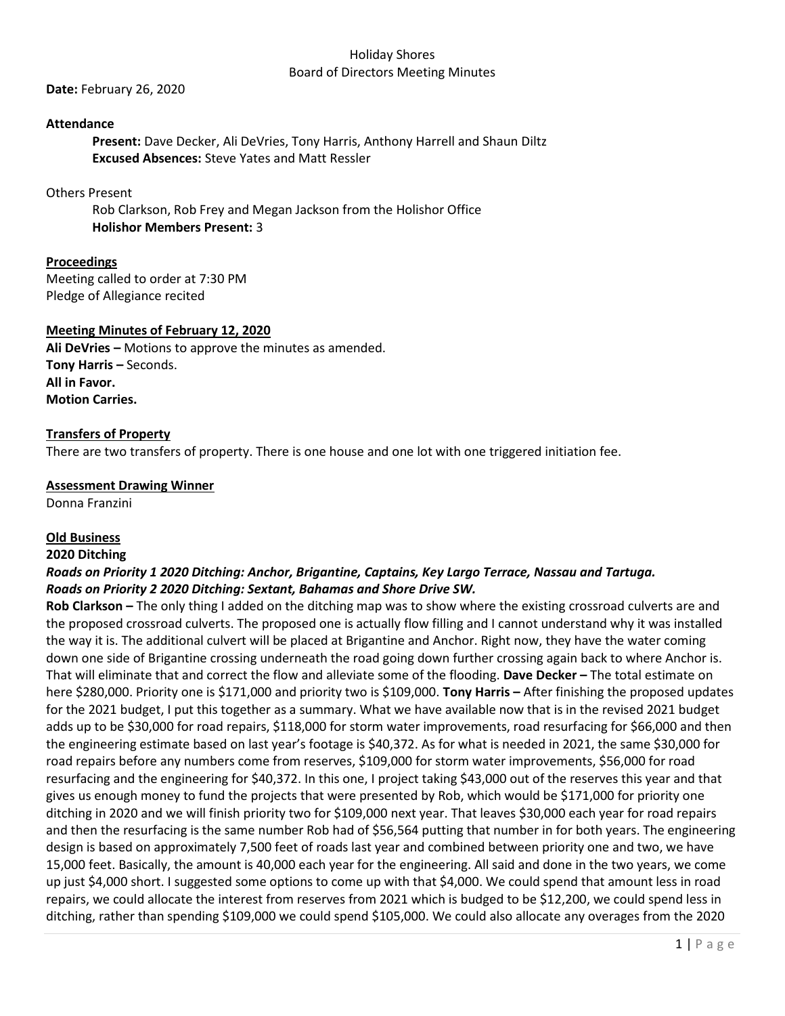### Holiday Shores Board of Directors Meeting Minutes

**Date:** February 26, 2020

### **Attendance**

**Present:** Dave Decker, Ali DeVries, Tony Harris, Anthony Harrell and Shaun Diltz **Excused Absences:** Steve Yates and Matt Ressler

#### Others Present

Rob Clarkson, Rob Frey and Megan Jackson from the Holishor Office **Holishor Members Present:** 3

## **Proceedings**

Meeting called to order at 7:30 PM Pledge of Allegiance recited

#### **Meeting Minutes of February 12, 2020**

**Ali DeVries –** Motions to approve the minutes as amended. **Tony Harris –** Seconds. **All in Favor. Motion Carries.**

#### **Transfers of Property**

There are two transfers of property. There is one house and one lot with one triggered initiation fee.

# **Assessment Drawing Winner**

Donna Franzini

## **Old Business**

#### **2020 Ditching**

# *Roads on Priority 1 2020 Ditching: Anchor, Brigantine, Captains, Key Largo Terrace, Nassau and Tartuga. Roads on Priority 2 2020 Ditching: Sextant, Bahamas and Shore Drive SW.*

**Rob Clarkson –** The only thing I added on the ditching map was to show where the existing crossroad culverts are and the proposed crossroad culverts. The proposed one is actually flow filling and I cannot understand why it was installed the way it is. The additional culvert will be placed at Brigantine and Anchor. Right now, they have the water coming down one side of Brigantine crossing underneath the road going down further crossing again back to where Anchor is. That will eliminate that and correct the flow and alleviate some of the flooding. **Dave Decker –** The total estimate on here \$280,000. Priority one is \$171,000 and priority two is \$109,000. **Tony Harris –** After finishing the proposed updates for the 2021 budget, I put this together as a summary. What we have available now that is in the revised 2021 budget adds up to be \$30,000 for road repairs, \$118,000 for storm water improvements, road resurfacing for \$66,000 and then the engineering estimate based on last year's footage is \$40,372. As for what is needed in 2021, the same \$30,000 for road repairs before any numbers come from reserves, \$109,000 for storm water improvements, \$56,000 for road resurfacing and the engineering for \$40,372. In this one, I project taking \$43,000 out of the reserves this year and that gives us enough money to fund the projects that were presented by Rob, which would be \$171,000 for priority one ditching in 2020 and we will finish priority two for \$109,000 next year. That leaves \$30,000 each year for road repairs and then the resurfacing is the same number Rob had of \$56,564 putting that number in for both years. The engineering design is based on approximately 7,500 feet of roads last year and combined between priority one and two, we have 15,000 feet. Basically, the amount is 40,000 each year for the engineering. All said and done in the two years, we come up just \$4,000 short. I suggested some options to come up with that \$4,000. We could spend that amount less in road repairs, we could allocate the interest from reserves from 2021 which is budged to be \$12,200, we could spend less in ditching, rather than spending \$109,000 we could spend \$105,000. We could also allocate any overages from the 2020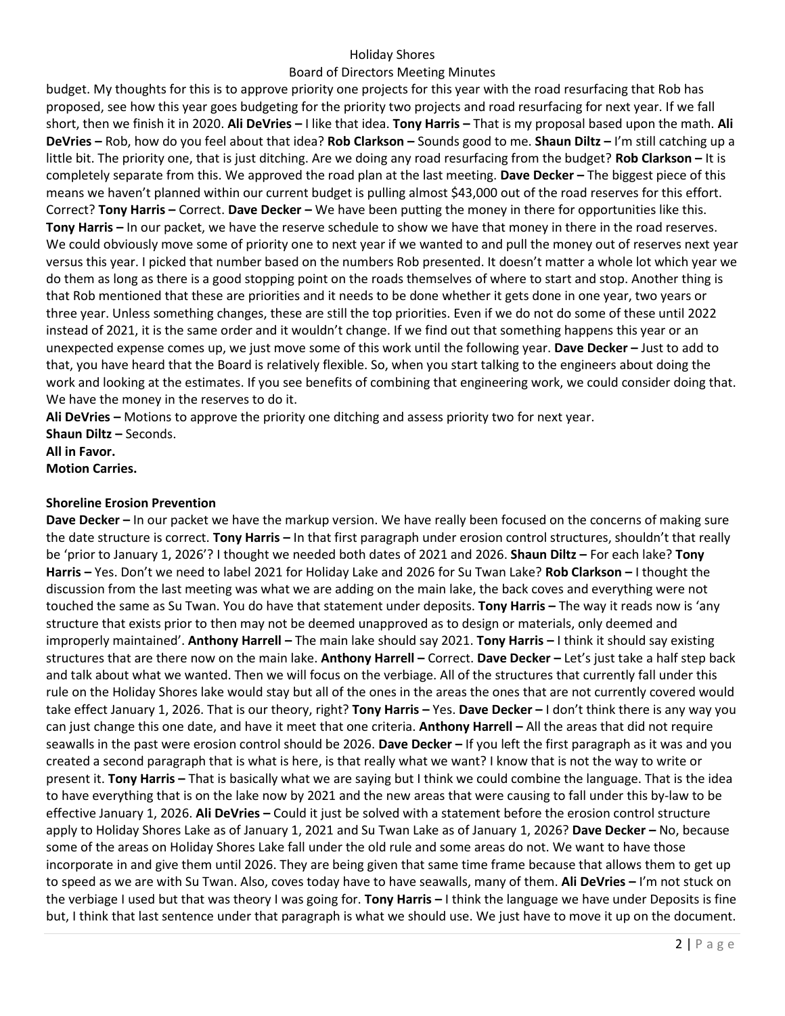# Holiday Shores

# Board of Directors Meeting Minutes

budget. My thoughts for this is to approve priority one projects for this year with the road resurfacing that Rob has proposed, see how this year goes budgeting for the priority two projects and road resurfacing for next year. If we fall short, then we finish it in 2020. **Ali DeVries –** I like that idea. **Tony Harris –** That is my proposal based upon the math. **Ali DeVries –** Rob, how do you feel about that idea? **Rob Clarkson –** Sounds good to me. **Shaun Diltz –** I'm still catching up a little bit. The priority one, that is just ditching. Are we doing any road resurfacing from the budget? **Rob Clarkson –** It is completely separate from this. We approved the road plan at the last meeting. **Dave Decker –** The biggest piece of this means we haven't planned within our current budget is pulling almost \$43,000 out of the road reserves for this effort. Correct? **Tony Harris –** Correct. **Dave Decker –** We have been putting the money in there for opportunities like this. **Tony Harris –** In our packet, we have the reserve schedule to show we have that money in there in the road reserves. We could obviously move some of priority one to next year if we wanted to and pull the money out of reserves next year versus this year. I picked that number based on the numbers Rob presented. It doesn't matter a whole lot which year we do them as long as there is a good stopping point on the roads themselves of where to start and stop. Another thing is that Rob mentioned that these are priorities and it needs to be done whether it gets done in one year, two years or three year. Unless something changes, these are still the top priorities. Even if we do not do some of these until 2022 instead of 2021, it is the same order and it wouldn't change. If we find out that something happens this year or an unexpected expense comes up, we just move some of this work until the following year. **Dave Decker –** Just to add to that, you have heard that the Board is relatively flexible. So, when you start talking to the engineers about doing the work and looking at the estimates. If you see benefits of combining that engineering work, we could consider doing that. We have the money in the reserves to do it.

**Ali DeVries –** Motions to approve the priority one ditching and assess priority two for next year.

**Shaun Diltz –** Seconds.

**All in Favor. Motion Carries.**

# **Shoreline Erosion Prevention**

**Dave Decker –** In our packet we have the markup version. We have really been focused on the concerns of making sure the date structure is correct. **Tony Harris –** In that first paragraph under erosion control structures, shouldn't that really be 'prior to January 1, 2026'? I thought we needed both dates of 2021 and 2026. **Shaun Diltz –** For each lake? **Tony Harris –** Yes. Don't we need to label 2021 for Holiday Lake and 2026 for Su Twan Lake? **Rob Clarkson –** I thought the discussion from the last meeting was what we are adding on the main lake, the back coves and everything were not touched the same as Su Twan. You do have that statement under deposits. **Tony Harris –** The way it reads now is 'any structure that exists prior to then may not be deemed unapproved as to design or materials, only deemed and improperly maintained'. **Anthony Harrell –** The main lake should say 2021. **Tony Harris –** I think it should say existing structures that are there now on the main lake. **Anthony Harrell –** Correct. **Dave Decker –** Let's just take a half step back and talk about what we wanted. Then we will focus on the verbiage. All of the structures that currently fall under this rule on the Holiday Shores lake would stay but all of the ones in the areas the ones that are not currently covered would take effect January 1, 2026. That is our theory, right? **Tony Harris –** Yes. **Dave Decker –** I don't think there is any way you can just change this one date, and have it meet that one criteria. **Anthony Harrell –** All the areas that did not require seawalls in the past were erosion control should be 2026. **Dave Decker –** If you left the first paragraph as it was and you created a second paragraph that is what is here, is that really what we want? I know that is not the way to write or present it. **Tony Harris –** That is basically what we are saying but I think we could combine the language. That is the idea to have everything that is on the lake now by 2021 and the new areas that were causing to fall under this by-law to be effective January 1, 2026. **Ali DeVries –** Could it just be solved with a statement before the erosion control structure apply to Holiday Shores Lake as of January 1, 2021 and Su Twan Lake as of January 1, 2026? **Dave Decker –** No, because some of the areas on Holiday Shores Lake fall under the old rule and some areas do not. We want to have those incorporate in and give them until 2026. They are being given that same time frame because that allows them to get up to speed as we are with Su Twan. Also, coves today have to have seawalls, many of them. **Ali DeVries –** I'm not stuck on the verbiage I used but that was theory I was going for. **Tony Harris –** I think the language we have under Deposits is fine but, I think that last sentence under that paragraph is what we should use. We just have to move it up on the document.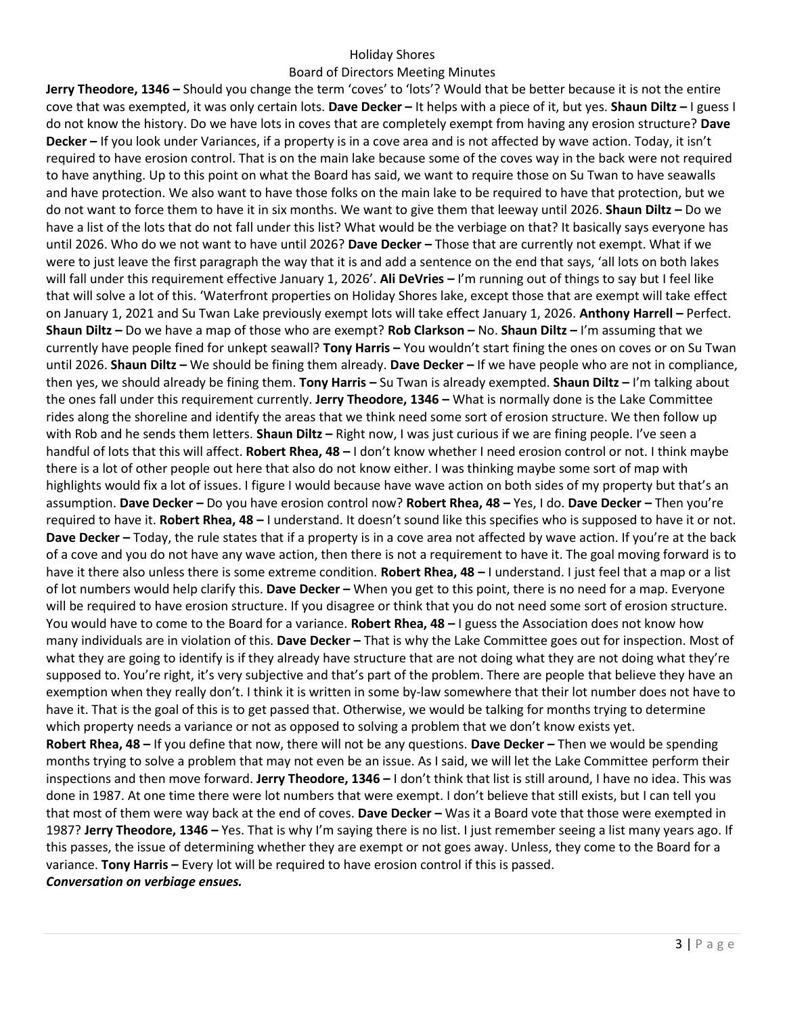### Holiday Shores

#### Board of Directors Meeting Minutes

**Jerry Theodore, 1346 –** Should you change the term 'coves' to 'lots'? Would that be better because it is not the entire cove that was exempted, it was only certain lots. **Dave Decker –** It helps with a piece of it, but yes. **Shaun Diltz –** I guess I do not know the history. Do we have lots in coves that are completely exempt from having any erosion structure? **Dave Decker –** If you look under Variances, if a property is in a cove area and is not affected by wave action. Today, it isn't required to have erosion control. That is on the main lake because some of the coves way in the back were not required to have anything. Up to this point on what the Board has said, we want to require those on Su Twan to have seawalls and have protection. We also want to have those folks on the main lake to be required to have that protection, but we do not want to force them to have it in six months. We want to give them that leeway until 2026. **Shaun Diltz –** Do we have a list of the lots that do not fall under this list? What would be the verbiage on that? It basically says everyone has until 2026. Who do we not want to have until 2026? **Dave Decker –** Those that are currently not exempt. What if we were to just leave the first paragraph the way that it is and add a sentence on the end that says, 'all lots on both lakes will fall under this requirement effective January 1, 2026'. **Ali DeVries –** I'm running out of things to say but I feel like that will solve a lot of this. 'Waterfront properties on Holiday Shores lake, except those that are exempt will take effect on January 1, 2021 and Su Twan Lake previously exempt lots will take effect January 1, 2026. **Anthony Harrell –** Perfect. **Shaun Diltz –** Do we have a map of those who are exempt? **Rob Clarkson –** No. **Shaun Diltz –** I'm assuming that we currently have people fined for unkept seawall? **Tony Harris –** You wouldn't start fining the ones on coves or on Su Twan until 2026. **Shaun Diltz –** We should be fining them already. **Dave Decker –** If we have people who are not in compliance, then yes, we should already be fining them. **Tony Harris –** Su Twan is already exempted. **Shaun Diltz –** I'm talking about the ones fall under this requirement currently. **Jerry Theodore, 1346 –** What is normally done is the Lake Committee rides along the shoreline and identify the areas that we think need some sort of erosion structure. We then follow up with Rob and he sends them letters. **Shaun Diltz –** Right now, I was just curious if we are fining people. I've seen a handful of lots that this will affect. **Robert Rhea, 48 –** I don't know whether I need erosion control or not. I think maybe there is a lot of other people out here that also do not know either. I was thinking maybe some sort of map with highlights would fix a lot of issues. I figure I would because have wave action on both sides of my property but that's an assumption. **Dave Decker –** Do you have erosion control now? **Robert Rhea, 48 –** Yes, I do. **Dave Decker –** Then you're required to have it. **Robert Rhea, 48 –** I understand. It doesn't sound like this specifies who is supposed to have it or not. **Dave Decker –** Today, the rule states that if a property is in a cove area not affected by wave action. If you're at the back of a cove and you do not have any wave action, then there is not a requirement to have it. The goal moving forward is to have it there also unless there is some extreme condition. **Robert Rhea, 48 –** I understand. I just feel that a map or a list of lot numbers would help clarify this. **Dave Decker –** When you get to this point, there is no need for a map. Everyone will be required to have erosion structure. If you disagree or think that you do not need some sort of erosion structure. You would have to come to the Board for a variance. **Robert Rhea, 48 –** I guess the Association does not know how many individuals are in violation of this. **Dave Decker –** That is why the Lake Committee goes out for inspection. Most of what they are going to identify is if they already have structure that are not doing what they are not doing what they're supposed to. You're right, it's very subjective and that's part of the problem. There are people that believe they have an exemption when they really don't. I think it is written in some by-law somewhere that their lot number does not have to have it. That is the goal of this is to get passed that. Otherwise, we would be talking for months trying to determine which property needs a variance or not as opposed to solving a problem that we don't know exists yet. **Robert Rhea, 48 –** If you define that now, there will not be any questions. **Dave Decker –** Then we would be spending months trying to solve a problem that may not even be an issue. As I said, we will let the Lake Committee perform their inspections and then move forward. **Jerry Theodore, 1346 –** I don't think that list is still around, I have no idea. This was done in 1987. At one time there were lot numbers that were exempt. I don't believe that still exists, but I can tell you that most of them were way back at the end of coves. **Dave Decker –** Was it a Board vote that those were exempted in 1987? **Jerry Theodore, 1346 –** Yes. That is why I'm saying there is no list. I just remember seeing a list many years ago. If this passes, the issue of determining whether they are exempt or not goes away. Unless, they come to the Board for a variance. **Tony Harris –** Every lot will be required to have erosion control if this is passed.

*Conversation on verbiage ensues.*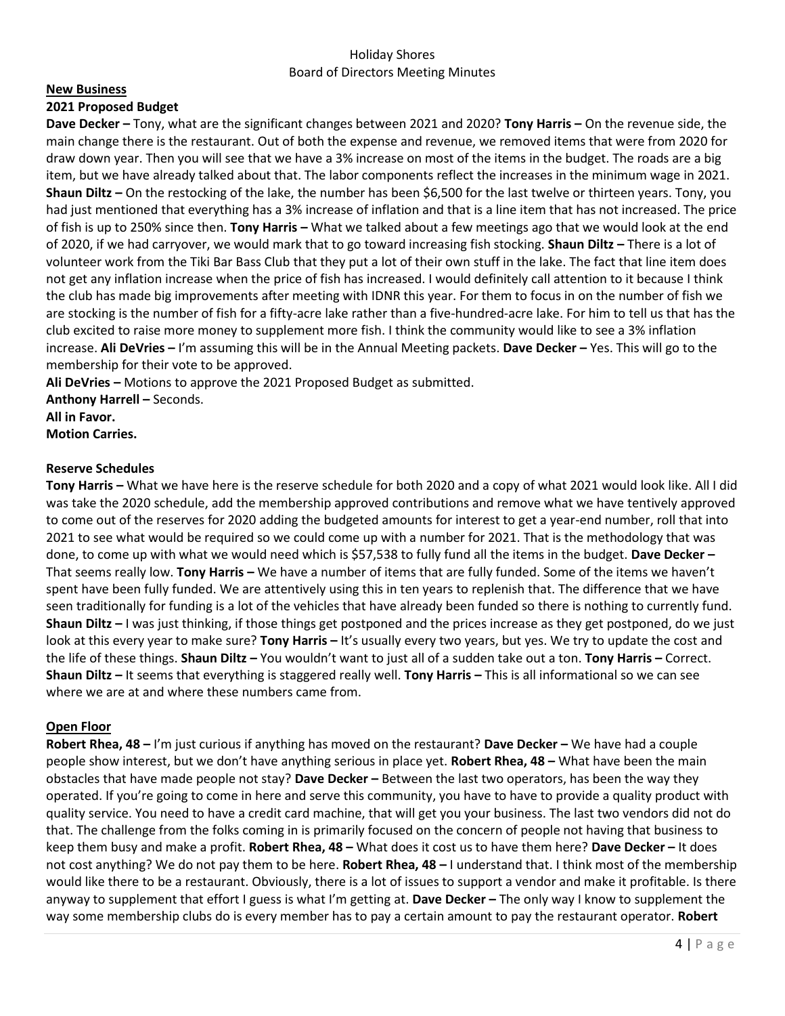# Holiday Shores Board of Directors Meeting Minutes

#### **New Business**

## **2021 Proposed Budget**

**Dave Decker –** Tony, what are the significant changes between 2021 and 2020? **Tony Harris –** On the revenue side, the main change there is the restaurant. Out of both the expense and revenue, we removed items that were from 2020 for draw down year. Then you will see that we have a 3% increase on most of the items in the budget. The roads are a big item, but we have already talked about that. The labor components reflect the increases in the minimum wage in 2021. **Shaun Diltz –** On the restocking of the lake, the number has been \$6,500 for the last twelve or thirteen years. Tony, you had just mentioned that everything has a 3% increase of inflation and that is a line item that has not increased. The price of fish is up to 250% since then. **Tony Harris –** What we talked about a few meetings ago that we would look at the end of 2020, if we had carryover, we would mark that to go toward increasing fish stocking. **Shaun Diltz –** There is a lot of volunteer work from the Tiki Bar Bass Club that they put a lot of their own stuff in the lake. The fact that line item does not get any inflation increase when the price of fish has increased. I would definitely call attention to it because I think the club has made big improvements after meeting with IDNR this year. For them to focus in on the number of fish we are stocking is the number of fish for a fifty-acre lake rather than a five-hundred-acre lake. For him to tell us that has the club excited to raise more money to supplement more fish. I think the community would like to see a 3% inflation increase. **Ali DeVries –** I'm assuming this will be in the Annual Meeting packets. **Dave Decker –** Yes. This will go to the membership for their vote to be approved.

**Ali DeVries –** Motions to approve the 2021 Proposed Budget as submitted.

**Anthony Harrell –** Seconds. **All in Favor.**

**Motion Carries.**

## **Reserve Schedules**

**Tony Harris –** What we have here is the reserve schedule for both 2020 and a copy of what 2021 would look like. All I did was take the 2020 schedule, add the membership approved contributions and remove what we have tentively approved to come out of the reserves for 2020 adding the budgeted amounts for interest to get a year-end number, roll that into 2021 to see what would be required so we could come up with a number for 2021. That is the methodology that was done, to come up with what we would need which is \$57,538 to fully fund all the items in the budget. **Dave Decker –** That seems really low. **Tony Harris –** We have a number of items that are fully funded. Some of the items we haven't spent have been fully funded. We are attentively using this in ten years to replenish that. The difference that we have seen traditionally for funding is a lot of the vehicles that have already been funded so there is nothing to currently fund. **Shaun Diltz –** I was just thinking, if those things get postponed and the prices increase as they get postponed, do we just look at this every year to make sure? **Tony Harris –** It's usually every two years, but yes. We try to update the cost and the life of these things. **Shaun Diltz –** You wouldn't want to just all of a sudden take out a ton. **Tony Harris –** Correct. **Shaun Diltz –** It seems that everything is staggered really well. **Tony Harris –** This is all informational so we can see where we are at and where these numbers came from.

# **Open Floor**

**Robert Rhea, 48 –** I'm just curious if anything has moved on the restaurant? **Dave Decker –** We have had a couple people show interest, but we don't have anything serious in place yet. **Robert Rhea, 48 –** What have been the main obstacles that have made people not stay? **Dave Decker –** Between the last two operators, has been the way they operated. If you're going to come in here and serve this community, you have to have to provide a quality product with quality service. You need to have a credit card machine, that will get you your business. The last two vendors did not do that. The challenge from the folks coming in is primarily focused on the concern of people not having that business to keep them busy and make a profit. **Robert Rhea, 48 –** What does it cost us to have them here? **Dave Decker –** It does not cost anything? We do not pay them to be here. **Robert Rhea, 48 –** I understand that. I think most of the membership would like there to be a restaurant. Obviously, there is a lot of issues to support a vendor and make it profitable. Is there anyway to supplement that effort I guess is what I'm getting at. **Dave Decker –** The only way I know to supplement the way some membership clubs do is every member has to pay a certain amount to pay the restaurant operator. **Robert**